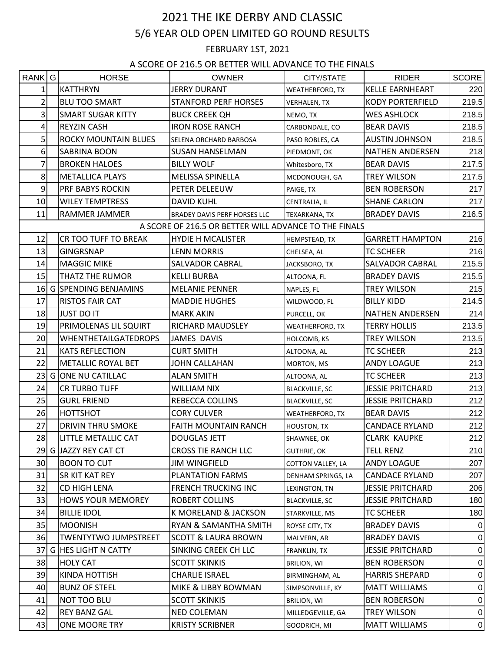## 2021 THE IKE DERBY AND CLASSIC 5/6 YEAR OLD OPEN LIMITED GO ROUND RESULTS

FEBRUARY 1ST, 2021

A SCORE OF 216.5 OR BETTER WILL ADVANCE TO THE FINALS

| RANK G         | <b>HORSE</b>                | <b>OWNER</b>                                          | CITY/STATE            | <b>RIDER</b>            | <b>SCORE</b>   |
|----------------|-----------------------------|-------------------------------------------------------|-----------------------|-------------------------|----------------|
| 1              | <b>KATTHRYN</b>             | <b>JERRY DURANT</b>                                   | WEATHERFORD, TX       | <b>KELLE EARNHEART</b>  | 220            |
| $\overline{2}$ | <b>BLU TOO SMART</b>        | <b>STANFORD PERF HORSES</b>                           | VERHALEN, TX          | <b>KODY PORTERFIELD</b> | 219.5          |
| 3              | <b>SMART SUGAR KITTY</b>    | <b>BUCK CREEK QH</b>                                  | NEMO, TX              | <b>WES ASHLOCK</b>      | 218.5          |
| 4              | <b>REYZIN CASH</b>          | <b>IRON ROSE RANCH</b>                                | CARBONDALE, CO        | <b>BEAR DAVIS</b>       | 218.5          |
| 5              | <b>ROCKY MOUNTAIN BLUES</b> | SELENA ORCHARD BARBOSA                                | PASO ROBLES, CA       | <b>AUSTIN JOHNSON</b>   | 218.5          |
| 6              | <b>SABRINA BOON</b>         | <b>SUSAN HANSELMAN</b>                                | PIEDMONT, OK          | <b>NATHEN ANDERSEN</b>  | 218            |
| 7              | <b>BROKEN HALOES</b>        | <b>BILLY WOLF</b>                                     | Whitesboro, TX        | <b>BEAR DAVIS</b>       | 217.5          |
| 8              | <b>METALLICA PLAYS</b>      | <b>MELISSA SPINELLA</b>                               | MCDONOUGH, GA         | <b>TREY WILSON</b>      | 217.5          |
| 9              | PRF BABYS ROCKIN            | PETER DELEEUW                                         | PAIGE, TX             | <b>BEN ROBERSON</b>     | 217            |
| 10             | <b>WILEY TEMPTRESS</b>      | <b>DAVID KUHL</b>                                     | CENTRALIA, IL         | <b>SHANE CARLON</b>     | 217            |
| 11             | RAMMER JAMMER               | BRADEY DAVIS PERF HORSES LLC                          | TEXARKANA, TX         | <b>BRADEY DAVIS</b>     | 216.5          |
|                |                             | A SCORE OF 216.5 OR BETTER WILL ADVANCE TO THE FINALS |                       |                         |                |
| 12             | CR TOO TUFF TO BREAK        | <b>HYDIE H MCALISTER</b>                              | HEMPSTEAD, TX         | <b>GARRETT HAMPTON</b>  | 216            |
| 13             | <b>GINGRSNAP</b>            | <b>LENN MORRIS</b>                                    | CHELSEA, AL           | <b>TC SCHEER</b>        | 216            |
| 14             | <b>MAGGIC MIKE</b>          | SALVADOR CABRAL                                       | JACKSBORO, TX         | SALVADOR CABRAL         | 215.5          |
| 15             | THATZ THE RUMOR             | <b>KELLI BURBA</b>                                    | ALTOONA, FL           | <b>BRADEY DAVIS</b>     | 215.5          |
| <b>16</b>      | <b>G SPENDING BENJAMINS</b> | <b>MELANIE PENNER</b>                                 | NAPLES, FL            | TREY WILSON             | 215            |
| 17             | <b>RISTOS FAIR CAT</b>      | <b>MADDIE HUGHES</b>                                  | WILDWOOD, FL          | <b>BILLY KIDD</b>       | 214.5          |
| 18             | JUST DO IT                  | <b>MARK AKIN</b>                                      | PURCELL, OK           | <b>NATHEN ANDERSEN</b>  | 214            |
| 19             | PRIMOLENAS LIL SQUIRT       | RICHARD MAUDSLEY                                      | WEATHERFORD, TX       | <b>TERRY HOLLIS</b>     | 213.5          |
| 20             | <b>WHENTHETAILGATEDROPS</b> | <b>JAMES DAVIS</b>                                    | HOLCOMB, KS           | TREY WILSON             | 213.5          |
| 21             | <b>KATS REFLECTION</b>      | <b>CURT SMITH</b>                                     | ALTOONA, AL           | TC SCHEER               | 213            |
| 22             | METALLIC ROYAL BET          | <b>JOHN CALLAHAN</b>                                  | MORTON, MS            | ANDY LOAGUE             | 213            |
|                | 23 G ONE NU CATILLAC        | <b>ALAN SMITH</b>                                     | ALTOONA, AL           | <b>TC SCHEER</b>        | 213            |
| 24             | <b>CR TURBO TUFF</b>        | <b>WILLIAM NIX</b>                                    | <b>BLACKVILLE, SC</b> | <b>JESSIE PRITCHARD</b> | 213            |
| 25             | <b>GURL FRIEND</b>          | REBECCA COLLINS                                       | <b>BLACKVILLE, SC</b> | <b>JESSIE PRITCHARD</b> | 212            |
| 26             | HOTTSHOT                    | <b>CORY CULVER</b>                                    | WEATHERFORD, TX       | <b>BEAR DAVIS</b>       | 212            |
| 27             | <b>DRIVIN THRU SMOKE</b>    | <b>FAITH MOUNTAIN RANCH</b>                           | HOUSTON, TX           | <b>CANDACE RYLAND</b>   | 212            |
| 28             | LITTLE METALLIC CAT         | DOUGLAS JETT                                          | SHAWNEE, OK           | <b>CLARK KAUPKE</b>     | 212            |
|                | 29 G JAZZY REY CAT CT       | <b>CROSS TIE RANCH LLC</b>                            | <b>GUTHRIE, OK</b>    | TELL RENZ               | 210            |
| 30             | <b>BOON TO CUT</b>          | <b>JIM WINGFIELD</b>                                  | COTTON VALLEY, LA     | <b>ANDY LOAGUE</b>      | 207            |
| 31             | SR KIT KAT REY              | PLANTATION FARMS                                      | DENHAM SPRINGS, LA    | <b>CANDACE RYLAND</b>   | 207            |
| 32             | CD HIGH LENA                | <b>FRENCH TRUCKING INC</b>                            | LEXINGTON, TN         | <b>JESSIE PRITCHARD</b> | 206            |
| 33             | HOWS YOUR MEMOREY           | ROBERT COLLINS                                        | <b>BLACKVILLE, SC</b> | <b>JESSIE PRITCHARD</b> | 180            |
| 34             | <b>BILLIE IDOL</b>          | K MORELAND & JACKSON                                  | STARKVILLE, MS        | <b>TC SCHEER</b>        | 180            |
| 35             | <b>MOONISH</b>              | RYAN & SAMANTHA SMITH                                 | ROYSE CITY, TX        | <b>BRADEY DAVIS</b>     | 0              |
| 36             | <b>TWENTYTWO JUMPSTREET</b> | <b>SCOTT &amp; LAURA BROWN</b>                        | MALVERN, AR           | <b>BRADEY DAVIS</b>     | 0              |
| 37             | <b>G HES LIGHT N CATTY</b>  | SINKING CREEK CH LLC                                  | FRANKLIN, TX          | <b>JESSIE PRITCHARD</b> | $\overline{0}$ |
| 38             | <b>HOLY CAT</b>             | <b>SCOTT SKINKIS</b>                                  | BRILION, WI           | <b>BEN ROBERSON</b>     | 0              |
| 39             | <b>KINDA HOTTISH</b>        | <b>CHARLIE ISRAEL</b>                                 | BIRMINGHAM, AL        | <b>HARRIS SHEPARD</b>   | $\overline{0}$ |
| 40             | <b>BUNZ OF STEEL</b>        | MIKE & LIBBY BOWMAN                                   | SIMPSONVILLE, KY      | <b>MATT WILLIAMS</b>    | 0              |
| 41             | NOT TOO BLU                 | <b>SCOTT SKINKIS</b>                                  | <b>BRILION, WI</b>    | <b>BEN ROBERSON</b>     | 0              |
| 42             | <b>REY BANZ GAL</b>         | NED COLEMAN                                           | MILLEDGEVILLE, GA     | TREY WILSON             | 0              |
| 43             | ONE MOORE TRY               | <b>KRISTY SCRIBNER</b>                                | GOODRICH, MI          | <b>MATT WILLIAMS</b>    | $\overline{0}$ |